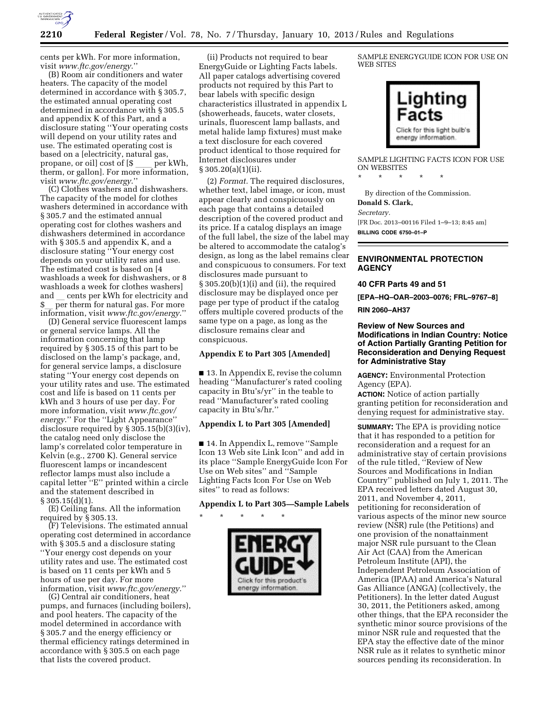

cents per kWh. For more information, visit *[www.ftc.gov/energy](http://www.ftc.gov/energy)*.''

(B) Room air conditioners and water heaters. The capacity of the model determined in accordance with § 305.7, the estimated annual operating cost determined in accordance with § 305.5 and appendix K of this Part, and a disclosure stating ''Your operating costs will depend on your utility rates and use. The estimated operating cost is based on a [electricity, natural gas,<br>propane, or oil] cost of [\$per kWh. propane, or oil] cost of [\$ \_\_\_ per kWh,<br>therm, or gallon]. For more information, visit *[www.ftc.gov/energy](http://www.ftc.gov/energy)*.''

(C) Clothes washers and dishwashers. The capacity of the model for clothes washers determined in accordance with § 305.7 and the estimated annual operating cost for clothes washers and dishwashers determined in accordance with § 305.5 and appendix K, and a disclosure stating ''Your energy cost depends on your utility rates and use. The estimated cost is based on [4 washloads a week for dishwashers, or 8 washloads a week for clothes washers] and cents per kWh for electricity and per therm for natural gas. For more information, visit *[www.ftc.gov/energy](http://www.ftc.gov/energy)*.''

(D) General service fluorescent lamps or general service lamps. All the information concerning that lamp required by § 305.15 of this part to be disclosed on the lamp's package, and, for general service lamps, a disclosure stating ''Your energy cost depends on your utility rates and use. The estimated cost and life is based on 11 cents per kWh and 3 hours of use per day. For more information, visit *[www.ftc.gov/](http://www.ftc.gov/energy)  [energy](http://www.ftc.gov/energy)*.'' For the ''Light Appearance'' disclosure required by § 305.15(b)(3)(iv), the catalog need only disclose the lamp's correlated color temperature in Kelvin (e.g., 2700 K). General service fluorescent lamps or incandescent reflector lamps must also include a capital letter ''E'' printed within a circle and the statement described in  $§ 305.15(d)(1).$ 

(E) Ceiling fans. All the information required by § 305.13.

(F) Televisions. The estimated annual operating cost determined in accordance with § 305.5 and a disclosure stating ''Your energy cost depends on your utility rates and use. The estimated cost is based on 11 cents per kWh and 5 hours of use per day. For more information, visit *[www.ftc.gov/energy](http://www.ftc.gov/energy)*.''

(G) Central air conditioners, heat pumps, and furnaces (including boilers), and pool heaters. The capacity of the model determined in accordance with § 305.7 and the energy efficiency or thermal efficiency ratings determined in accordance with § 305.5 on each page that lists the covered product.

(ii) Products not required to bear EnergyGuide or Lighting Facts labels. All paper catalogs advertising covered products not required by this Part to bear labels with specific design characteristics illustrated in appendix L (showerheads, faucets, water closets, urinals, fluorescent lamp ballasts, and metal halide lamp fixtures) must make a text disclosure for each covered product identical to those required for Internet disclosures under § 305.20(a)(1)(ii).

(2) *Format.* The required disclosures, whether text, label image, or icon, must appear clearly and conspicuously on each page that contains a detailed description of the covered product and its price. If a catalog displays an image of the full label, the size of the label may be altered to accommodate the catalog's design, as long as the label remains clear and conspicuous to consumers. For text disclosures made pursuant to  $\S 305.20(b)(1)(i)$  and (ii), the required disclosure may be displayed once per page per type of product if the catalog offers multiple covered products of the same type on a page, as long as the disclosure remains clear and conspicuous.

### **Appendix E to Part 305 [Amended]**

■ 13. In Appendix E, revise the column heading ''Manufacturer's rated cooling capacity in Btu's/yr'' in the teable to read ''Manufacturer's rated cooling capacity in Btu's/hr.''

### **Appendix L to Part 305 [Amended]**

■ 14. In Appendix L, remove "Sample Icon 13 Web site Link Icon'' and add in its place ''Sample EnergyGuide Icon For Use on Web sites'' and ''Sample Lighting Facts Icon For Use on Web sites'' to read as follows:

### **Appendix L to Part 305—Sample Labels**

\* \* \* \* \* Click for this product's energy information

SAMPLE ENERGYGUIDE ICON FOR USE ON WEB SITES



SAMPLE LIGHTING FACTS ICON FOR USE ON WEBSITES

By direction of the Commission. **Donald S. Clark,**  *Secretary.*  [FR Doc. 2013–00116 Filed 1–9–13; 8:45 am] **BILLING CODE 6750–01–P** 

## **ENVIRONMENTAL PROTECTION AGENCY**

### **40 CFR Parts 49 and 51**

\* \* \* \* \*

**[EPA–HQ–OAR–2003–0076; FRL–9767–8]** 

**RIN 2060–AH37** 

### **Review of New Sources and Modifications in Indian Country: Notice of Action Partially Granting Petition for Reconsideration and Denying Request for Administrative Stay**

**AGENCY:** Environmental Protection Agency (EPA).

**ACTION:** Notice of action partially granting petition for reconsideration and denying request for administrative stay.

**SUMMARY:** The EPA is providing notice that it has responded to a petition for reconsideration and a request for an administrative stay of certain provisions of the rule titled, ''Review of New Sources and Modifications in Indian Country'' published on July 1, 2011. The EPA received letters dated August 30, 2011, and November 4, 2011, petitioning for reconsideration of various aspects of the minor new source review (NSR) rule (the Petitions) and one provision of the nonattainment major NSR rule pursuant to the Clean Air Act (CAA) from the American Petroleum Institute (API), the Independent Petroleum Association of America (IPAA) and America's Natural Gas Alliance (ANGA) (collectively, the Petitioners). In the letter dated August 30, 2011, the Petitioners asked, among other things, that the EPA reconsider the synthetic minor source provisions of the minor NSR rule and requested that the EPA stay the effective date of the minor NSR rule as it relates to synthetic minor sources pending its reconsideration. In